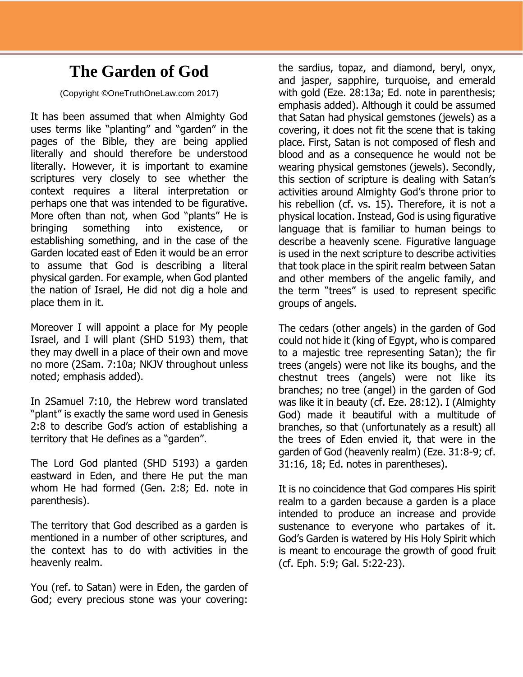## **The Garden of God**

(Copyright ©OneTruthOneLaw.com 2017)

It has been assumed that when Almighty God uses terms like "planting" and "garden" in the pages of the Bible, they are being applied literally and should therefore be understood literally. However, it is important to examine scriptures very closely to see whether the context requires a literal interpretation or perhaps one that was intended to be figurative. More often than not, when God "plants" He is bringing something into existence, or establishing something, and in the case of the Garden located east of Eden it would be an error to assume that God is describing a literal physical garden. For example, when God planted the nation of Israel, He did not dig a hole and place them in it.

Moreover I will appoint a place for My people Israel, and I will plant (SHD 5193) them, that they may dwell in a place of their own and move no more (2Sam. 7:10a; NKJV throughout unless noted; emphasis added).

In 2Samuel 7:10, the Hebrew word translated "plant" is exactly the same word used in Genesis 2:8 to describe God's action of establishing a territory that He defines as a "garden".

The Lord God planted (SHD 5193) a garden eastward in Eden, and there He put the man whom He had formed (Gen. 2:8; Ed. note in parenthesis).

The territory that God described as a garden is mentioned in a number of other scriptures, and the context has to do with activities in the heavenly realm.

You (ref. to Satan) were in Eden, the garden of God; every precious stone was your covering:

the sardius, topaz, and diamond, beryl, onyx, and jasper, sapphire, turquoise, and emerald with gold (Eze. 28:13a; Ed. note in parenthesis; emphasis added). Although it could be assumed that Satan had physical gemstones (jewels) as a covering, it does not fit the scene that is taking place. First, Satan is not composed of flesh and blood and as a consequence he would not be wearing physical gemstones (jewels). Secondly, this section of scripture is dealing with Satan's activities around Almighty God's throne prior to his rebellion (cf. vs. 15). Therefore, it is not a physical location. Instead, God is using figurative language that is familiar to human beings to describe a heavenly scene. Figurative language is used in the next scripture to describe activities that took place in the spirit realm between Satan and other members of the angelic family, and the term "trees" is used to represent specific groups of angels.

The cedars (other angels) in the garden of God could not hide it (king of Egypt, who is compared to a majestic tree representing Satan); the fir trees (angels) were not like its boughs, and the chestnut trees (angels) were not like its branches; no tree (angel) in the garden of God was like it in beauty (cf. Eze. 28:12). I (Almighty God) made it beautiful with a multitude of branches, so that (unfortunately as a result) all the trees of Eden envied it, that were in the garden of God (heavenly realm) (Eze. 31:8-9; cf. 31:16, 18; Ed. notes in parentheses).

It is no coincidence that God compares His spirit realm to a garden because a garden is a place intended to produce an increase and provide sustenance to everyone who partakes of it. God's Garden is watered by His Holy Spirit which is meant to encourage the growth of good fruit (cf. Eph. 5:9; Gal. 5:22-23).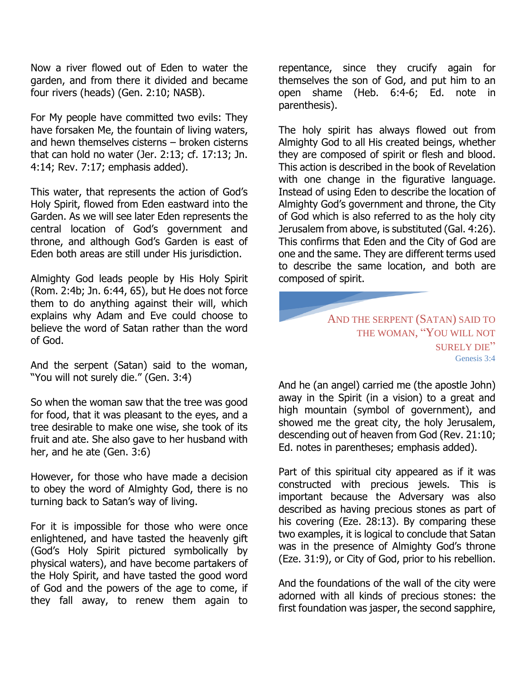Now a river flowed out of Eden to water the garden, and from there it divided and became four rivers (heads) (Gen. 2:10; NASB).

For My people have committed two evils: They have forsaken Me, the fountain of living waters, and hewn themselves cisterns – broken cisterns that can hold no water (Jer. 2:13; cf. 17:13; Jn. 4:14; Rev. 7:17; emphasis added).

This water, that represents the action of God's Holy Spirit, flowed from Eden eastward into the Garden. As we will see later Eden represents the central location of God's government and throne, and although God's Garden is east of Eden both areas are still under His jurisdiction.

Almighty God leads people by His Holy Spirit (Rom. 2:4b; Jn. 6:44, 65), but He does not force them to do anything against their will, which explains why Adam and Eve could choose to believe the word of Satan rather than the word of God.

And the serpent (Satan) said to the woman, "You will not surely die." (Gen. 3:4)

So when the woman saw that the tree was good for food, that it was pleasant to the eyes, and a tree desirable to make one wise, she took of its fruit and ate. She also gave to her husband with her, and he ate (Gen. 3:6)

However, for those who have made a decision to obey the word of Almighty God, there is no turning back to Satan's way of living.

For it is impossible for those who were once enlightened, and have tasted the heavenly gift (God's Holy Spirit pictured symbolically by physical waters), and have become partakers of the Holy Spirit, and have tasted the good word of God and the powers of the age to come, if they fall away, to renew them again to

repentance, since they crucify again for themselves the son of God, and put him to an open shame (Heb. 6:4-6; Ed. note in parenthesis).

The holy spirit has always flowed out from Almighty God to all His created beings, whether they are composed of spirit or flesh and blood. This action is described in the book of Revelation with one change in the figurative language. Instead of using Eden to describe the location of Almighty God's government and throne, the City of God which is also referred to as the holy city Jerusalem from above, is substituted (Gal. 4:26). This confirms that Eden and the City of God are one and the same. They are different terms used to describe the same location, and both are composed of spirit.

## AND THE SERPENT (SATAN) SAID TO THE WOMAN, "YOU WILL NOT SURELY DIE" Genesis 3:4

And he (an angel) carried me (the apostle John) away in the Spirit (in a vision) to a great and high mountain (symbol of government), and showed me the great city, the holy Jerusalem, descending out of heaven from God (Rev. 21:10; Ed. notes in parentheses; emphasis added).

Part of this spiritual city appeared as if it was constructed with precious jewels. This is important because the Adversary was also described as having precious stones as part of his covering (Eze. 28:13). By comparing these two examples, it is logical to conclude that Satan was in the presence of Almighty God's throne (Eze. 31:9), or City of God, prior to his rebellion.

And the foundations of the wall of the city were adorned with all kinds of precious stones: the first foundation was jasper, the second sapphire,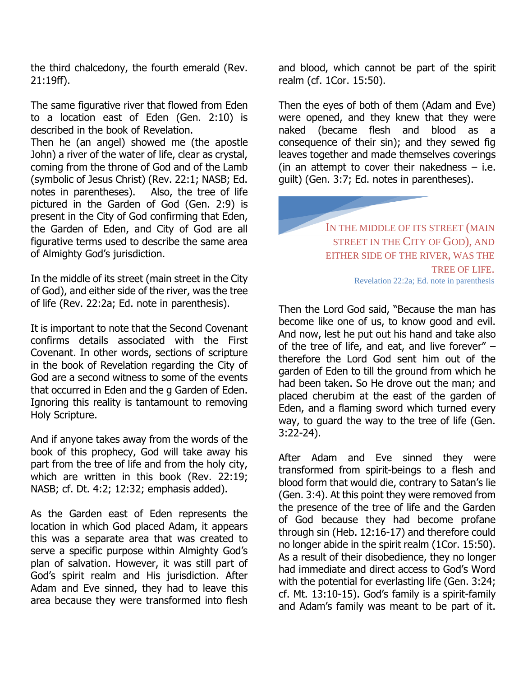the third chalcedony, the fourth emerald (Rev. 21:19ff).

The same figurative river that flowed from Eden to a location east of Eden (Gen. 2:10) is described in the book of Revelation.

Then he (an angel) showed me (the apostle John) a river of the water of life, clear as crystal, coming from the throne of God and of the Lamb (symbolic of Jesus Christ) (Rev. 22:1; NASB; Ed. notes in parentheses). Also, the tree of life pictured in the Garden of God (Gen. 2:9) is present in the City of God confirming that Eden, the Garden of Eden, and City of God are all figurative terms used to describe the same area of Almighty God's jurisdiction.

In the middle of its street (main street in the City of God), and either side of the river, was the tree of life (Rev. 22:2a; Ed. note in parenthesis).

It is important to note that the Second Covenant confirms details associated with the First Covenant. In other words, sections of scripture in the book of Revelation regarding the City of God are a second witness to some of the events that occurred in Eden and the g Garden of Eden. Ignoring this reality is tantamount to removing Holy Scripture.

And if anyone takes away from the words of the book of this prophecy, God will take away his part from the tree of life and from the holy city, which are written in this book (Rev. 22:19; NASB; cf. Dt. 4:2; 12:32; emphasis added).

As the Garden east of Eden represents the location in which God placed Adam, it appears this was a separate area that was created to serve a specific purpose within Almighty God's plan of salvation. However, it was still part of God's spirit realm and His jurisdiction. After Adam and Eve sinned, they had to leave this area because they were transformed into flesh

and blood, which cannot be part of the spirit realm (cf. 1Cor. 15:50).

Then the eyes of both of them (Adam and Eve) were opened, and they knew that they were naked (became flesh and blood as a consequence of their sin); and they sewed fig leaves together and made themselves coverings (in an attempt to cover their nakedness  $-$  i.e. guilt) (Gen. 3:7; Ed. notes in parentheses).

> IN THE MIDDLE OF ITS STREET (MAIN STREET IN THE CITY OF GOD), AND EITHER SIDE OF THE RIVER, WAS THE TREE OF LIFE. Revelation 22:2a; Ed. note in parenthesis

Then the Lord God said, "Because the man has become like one of us, to know good and evil. And now, lest he put out his hand and take also of the tree of life, and eat, and live forever" – therefore the Lord God sent him out of the garden of Eden to till the ground from which he had been taken. So He drove out the man; and placed cherubim at the east of the garden of Eden, and a flaming sword which turned every way, to guard the way to the tree of life (Gen. 3:22-24).

After Adam and Eve sinned they were transformed from spirit-beings to a flesh and blood form that would die, contrary to Satan's lie (Gen. 3:4). At this point they were removed from the presence of the tree of life and the Garden of God because they had become profane through sin (Heb. 12:16-17) and therefore could no longer abide in the spirit realm (1Cor. 15:50). As a result of their disobedience, they no longer had immediate and direct access to God's Word with the potential for everlasting life (Gen. 3:24; cf. Mt. 13:10-15). God's family is a spirit-family and Adam's family was meant to be part of it.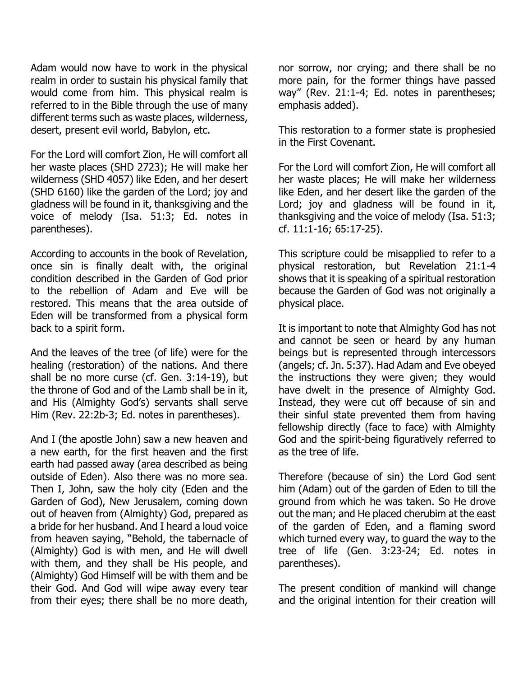Adam would now have to work in the physical realm in order to sustain his physical family that would come from him. This physical realm is referred to in the Bible through the use of many different terms such as waste places, wilderness, desert, present evil world, Babylon, etc.

For the Lord will comfort Zion, He will comfort all her waste places (SHD 2723); He will make her wilderness (SHD 4057) like Eden, and her desert (SHD 6160) like the garden of the Lord; joy and gladness will be found in it, thanksgiving and the voice of melody (Isa. 51:3; Ed. notes in parentheses).

According to accounts in the book of Revelation, once sin is finally dealt with, the original condition described in the Garden of God prior to the rebellion of Adam and Eve will be restored. This means that the area outside of Eden will be transformed from a physical form back to a spirit form.

And the leaves of the tree (of life) were for the healing (restoration) of the nations. And there shall be no more curse (cf. Gen. 3:14-19), but the throne of God and of the Lamb shall be in it, and His (Almighty God's) servants shall serve Him (Rev. 22:2b-3; Ed. notes in parentheses).

And I (the apostle John) saw a new heaven and a new earth, for the first heaven and the first earth had passed away (area described as being outside of Eden). Also there was no more sea. Then I, John, saw the holy city (Eden and the Garden of God), New Jerusalem, coming down out of heaven from (Almighty) God, prepared as a bride for her husband. And I heard a loud voice from heaven saying, "Behold, the tabernacle of (Almighty) God is with men, and He will dwell with them, and they shall be His people, and (Almighty) God Himself will be with them and be their God. And God will wipe away every tear from their eyes; there shall be no more death,

nor sorrow, nor crying; and there shall be no more pain, for the former things have passed way" (Rev. 21:1-4; Ed. notes in parentheses; emphasis added).

This restoration to a former state is prophesied in the First Covenant.

For the Lord will comfort Zion, He will comfort all her waste places; He will make her wilderness like Eden, and her desert like the garden of the Lord; joy and gladness will be found in it, thanksgiving and the voice of melody (Isa. 51:3; cf. 11:1-16; 65:17-25).

This scripture could be misapplied to refer to a physical restoration, but Revelation 21:1-4 shows that it is speaking of a spiritual restoration because the Garden of God was not originally a physical place.

It is important to note that Almighty God has not and cannot be seen or heard by any human beings but is represented through intercessors (angels; cf. Jn. 5:37). Had Adam and Eve obeyed the instructions they were given; they would have dwelt in the presence of Almighty God. Instead, they were cut off because of sin and their sinful state prevented them from having fellowship directly (face to face) with Almighty God and the spirit-being figuratively referred to as the tree of life.

Therefore (because of sin) the Lord God sent him (Adam) out of the garden of Eden to till the ground from which he was taken. So He drove out the man; and He placed cherubim at the east of the garden of Eden, and a flaming sword which turned every way, to guard the way to the tree of life (Gen. 3:23-24; Ed. notes in parentheses).

The present condition of mankind will change and the original intention for their creation will